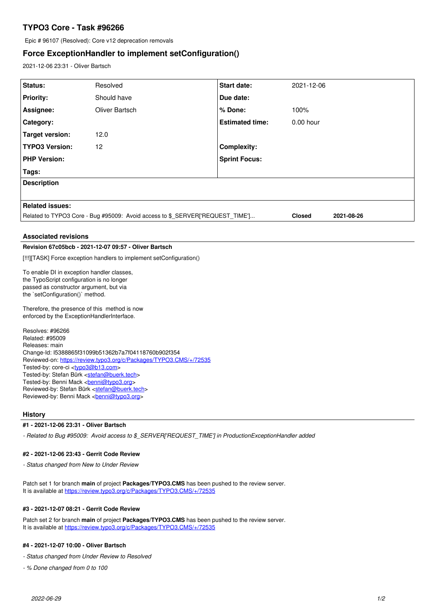# **TYPO3 Core - Task #96266**

Epic # 96107 (Resolved): Core v12 deprecation removals

## **Force ExceptionHandler to implement setConfiguration()**

2021-12-06 23:31 - Oliver Bartsch

| Status:                                                                       | Resolved       | <b>Start date:</b>     | 2021-12-06  |  |
|-------------------------------------------------------------------------------|----------------|------------------------|-------------|--|
| <b>Priority:</b>                                                              | Should have    | Due date:              |             |  |
| Assignee:                                                                     | Oliver Bartsch | ∣% Done:               | 100%        |  |
| <b>Category:</b>                                                              |                | <b>Estimated time:</b> | $0.00$ hour |  |
| Target version:                                                               | 12.0           |                        |             |  |
| <b>TYPO3 Version:</b>                                                         | 12             | <b>Complexity:</b>     |             |  |
| <b>PHP Version:</b>                                                           |                | <b>Sprint Focus:</b>   |             |  |
| Tags:                                                                         |                |                        |             |  |
| <b>Description</b>                                                            |                |                        |             |  |
|                                                                               |                |                        |             |  |
| <b>Related issues:</b>                                                        |                |                        |             |  |
| Related to TYPO3 Core - Bug #95009: Avoid access to \$_SERVER['REQUEST_TIME'] |                | <b>Closed</b>          | 2021-08-26  |  |

## **Associated revisions**

## **Revision 67c05bcb - 2021-12-07 09:57 - Oliver Bartsch**

[!!!][TASK] Force exception handlers to implement setConfiguration()

To enable DI in exception handler classes, the TypoScript configuration is no longer passed as constructor argument, but via the `setConfiguration()` method.

Therefore, the presence of this method is now enforced by the ExceptionHandlerInterface.

Resolves: #96266 Related: #95009 Releases: main Change-Id: I5388865f31099b51362b7a7f04118760b902f354 Reviewed-on:<https://review.typo3.org/c/Packages/TYPO3.CMS/+/72535> Tested-by: core-ci [<typo3@b13.com](mailto:typo3@b13.com)> Tested-by: Stefan Bürk <[stefan@buerk.tech](mailto:stefan@buerk.tech)> Tested-by: Benni Mack <br /> **[benni@typo3.org>](mailto:benni@typo3.org)** Reviewed-by: Stefan Bürk <[stefan@buerk.tech>](mailto:stefan@buerk.tech) Reviewed-by: Benni Mack <br/>
<br/><u>conni@typo3.org</u>>

#### **History**

### **#1 - 2021-12-06 23:31 - Oliver Bartsch**

*- Related to Bug #95009: Avoid access to \$\_SERVER['REQUEST\_TIME'] in ProductionExceptionHandler added*

#### **#2 - 2021-12-06 23:43 - Gerrit Code Review**

*- Status changed from New to Under Review*

Patch set 1 for branch **main** of project **Packages/TYPO3.CMS** has been pushed to the review server. It is available at <https://review.typo3.org/c/Packages/TYPO3.CMS/+/72535>

#### **#3 - 2021-12-07 08:21 - Gerrit Code Review**

Patch set 2 for branch **main** of project **Packages/TYPO3.CMS** has been pushed to the review server. It is available at <https://review.typo3.org/c/Packages/TYPO3.CMS/+/72535>

## **#4 - 2021-12-07 10:00 - Oliver Bartsch**

*- Status changed from Under Review to Resolved*

*- % Done changed from 0 to 100*